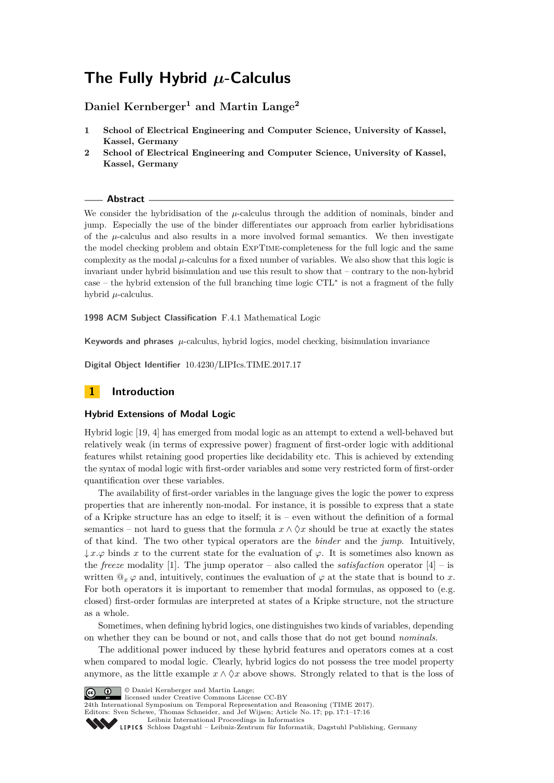# **The Fully Hybrid** *µ***-Calculus**

# **Daniel Kernberger<sup>1</sup> and Martin Lange<sup>2</sup>**

- **1 School of Electrical Engineering and Computer Science, University of Kassel, Kassel, Germany**
- **2 School of Electrical Engineering and Computer Science, University of Kassel, Kassel, Germany**

### **Abstract**

We consider the hybridisation of the  $\mu$ -calculus through the addition of nominals, binder and jump. Especially the use of the binder differentiates our approach from earlier hybridisations of the  $\mu$ -calculus and also results in a more involved formal semantics. We then investigate the model checking problem and obtain ExpTime-completeness for the full logic and the same complexity as the modal  $\mu$ -calculus for a fixed number of variables. We also show that this logic is invariant under hybrid bisimulation and use this result to show that – contrary to the non-hybrid case – the hybrid extension of the full branching time logic CTL<sup>∗</sup> is not a fragment of the fully hybrid *µ*-calculus.

**1998 ACM Subject Classification** F.4.1 Mathematical Logic

**Keywords and phrases**  $\mu$ -calculus, hybrid logics, model checking, bisimulation invariance

**Digital Object Identifier** [10.4230/LIPIcs.TIME.2017.17](http://dx.doi.org/10.4230/LIPIcs.TIME.2017.17)

# **1 Introduction**

### **Hybrid Extensions of Modal Logic**

Hybrid logic [\[19,](#page-15-0) [4\]](#page-14-0) has emerged from modal logic as an attempt to extend a well-behaved but relatively weak (in terms of expressive power) fragment of first-order logic with additional features whilst retaining good properties like decidability etc. This is achieved by extending the syntax of modal logic with first-order variables and some very restricted form of first-order quantification over these variables.

The availability of first-order variables in the language gives the logic the power to express properties that are inherently non-modal. For instance, it is possible to express that a state of a Kripke structure has an edge to itself; it is – even without the definition of a formal semantics – not hard to guess that the formula  $x \wedge \Diamond x$  should be true at exactly the states of that kind. The two other typical operators are the *binder* and the *jump*. Intuitively,  $\downarrow x.\varphi$  binds x to the current state for the evaluation of  $\varphi$ . It is sometimes also known as the *freeze* modality [\[1\]](#page-14-1). The jump operator – also called the *satisfaction* operator [\[4\]](#page-14-0) – is written  $\mathbb{Q}_x \varphi$  and, intuitively, continues the evaluation of  $\varphi$  at the state that is bound to *x*. For both operators it is important to remember that modal formulas, as opposed to (e.g. closed) first-order formulas are interpreted at states of a Kripke structure, not the structure as a whole.

Sometimes, when defining hybrid logics, one distinguishes two kinds of variables, depending on whether they can be bound or not, and calls those that do not get bound *nominals*.

The additional power induced by these hybrid features and operators comes at a cost when compared to modal logic. Clearly, hybrid logics do not possess the tree model property anymore, as the little example  $x \wedge \Diamond x$  above shows. Strongly related to that is the loss of



© Daniel Kernberger and Martin Lange;

licensed under Creative Commons License CC-BY

24th International Symposium on Temporal Representation and Reasoning (TIME 2017).

Editors: Sven Schewe, Thomas Schneider, and Jef Wijsen; Article No. 17; pp. 17:1–17[:16](#page-15-1) [Leibniz International Proceedings in Informatics](http://www.dagstuhl.de/lipics/)

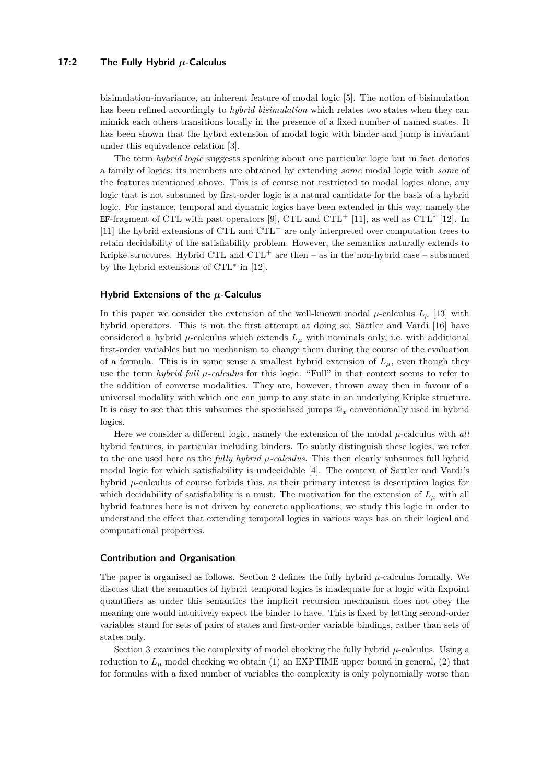### **17:2 The Fully Hybrid** *µ***-Calculus**

bisimulation-invariance, an inherent feature of modal logic [\[5\]](#page-14-2). The notion of bisimulation has been refined accordingly to *hybrid bisimulation* which relates two states when they can mimick each others transitions locally in the presence of a fixed number of named states. It has been shown that the hybrd extension of modal logic with binder and jump is invariant under this equivalence relation [\[3\]](#page-14-3).

The term *hybrid logic* suggests speaking about one particular logic but in fact denotes a family of logics; its members are obtained by extending *some* modal logic with *some* of the features mentioned above. This is of course not restricted to modal logics alone, any logic that is not subsumed by first-order logic is a natural candidate for the basis of a hybrid logic. For instance, temporal and dynamic logics have been extended in this way, namely the EF-fragment of CTL with past operators [\[9\]](#page-14-4), CTL and CTL<sup>+</sup> [\[11\]](#page-14-5), as well as CTL<sup>\*</sup> [\[12\]](#page-14-6). In  $[11]$  the hybrid extensions of CTL and CTL<sup>+</sup> are only interpreted over computation trees to retain decidability of the satisfiability problem. However, the semantics naturally extends to Kripke structures. Hybrid CTL and  $\text{CTL}^+$  are then – as in the non-hybrid case – subsumed by the hybrid extensions of CTL<sup>∗</sup> in [\[12\]](#page-14-6).

#### **Hybrid Extensions of the** *µ***-Calculus**

In this paper we consider the extension of the well-known modal  $\mu$ -calculus  $L_{\mu}$  [\[13\]](#page-14-7) with hybrid operators. This is not the first attempt at doing so; Sattler and Vardi [\[16\]](#page-15-2) have considered a hybrid  $\mu$ -calculus which extends  $L_{\mu}$  with nominals only, i.e. with additional first-order variables but no mechanism to change them during the course of the evaluation of a formula. This is in some sense a smallest hybrid extension of  $L_\mu$ , even though they use the term *hybrid full*  $\mu$ -calculus for this logic. "Full" in that context seems to refer to the addition of converse modalities. They are, however, thrown away then in favour of a universal modality with which one can jump to any state in an underlying Kripke structure. It is easy to see that this subsumes the specialised jumps @*<sup>x</sup>* conventionally used in hybrid logics.

Here we consider a different logic, namely the extension of the modal  $\mu$ -calculus with *all* hybrid features, in particular including binders. To subtly distinguish these logics, we refer to the one used here as the *fully hybrid*  $\mu$ -calculus. This then clearly subsumes full hybrid modal logic for which satisfiability is undecidable [\[4\]](#page-14-0). The context of Sattler and Vardi's hybrid  $\mu$ -calculus of course forbids this, as their primary interest is description logics for which decidability of satisfiability is a must. The motivation for the extension of  $L<sub>\mu</sub>$  with all hybrid features here is not driven by concrete applications; we study this logic in order to understand the effect that extending temporal logics in various ways has on their logical and computational properties.

#### **Contribution and Organisation**

The paper is organised as follows. Section [2](#page-2-0) defines the fully hybrid *µ*-calculus formally. We discuss that the semantics of hybrid temporal logics is inadequate for a logic with fixpoint quantifiers as under this semantics the implicit recursion mechanism does not obey the meaning one would intuitively expect the binder to have. This is fixed by letting second-order variables stand for sets of pairs of states and first-order variable bindings, rather than sets of states only.

Section [3](#page-6-0) examines the complexity of model checking the fully hybrid  $\mu$ -calculus. Using a reduction to  $L_{\mu}$  model checking we obtain (1) an EXPTIME upper bound in general, (2) that for formulas with a fixed number of variables the complexity is only polynomially worse than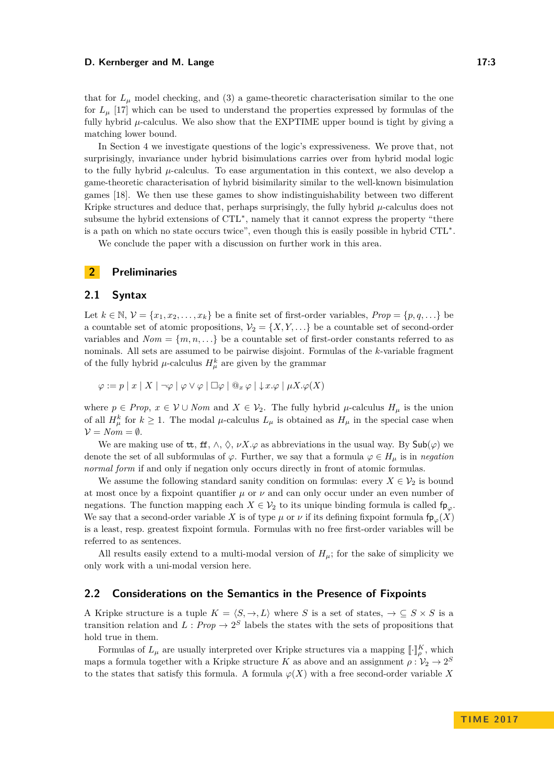#### **D. Kernberger and M. Lange 17:3** 17:3

that for  $L_{\mu}$  model checking, and (3) a game-theoretic characterisation similar to the one for  $L_\mu$  [\[17\]](#page-15-3) which can be used to understand the properties expressed by formulas of the fully hybrid *µ*-calculus. We also show that the EXPTIME upper bound is tight by giving a matching lower bound.

In Section [4](#page-9-0) we investigate questions of the logic's expressiveness. We prove that, not surprisingly, invariance under hybrid bisimulations carries over from hybrid modal logic to the fully hybrid *µ*-calculus. To ease argumentation in this context, we also develop a game-theoretic characterisation of hybrid bisimilarity similar to the well-known bisimulation games [\[18\]](#page-15-4). We then use these games to show indistinguishability between two different Kripke structures and deduce that, perhaps surprisingly, the fully hybrid  $\mu$ -calculus does not subsume the hybrid extensions of CTL<sup>\*</sup>, namely that it cannot express the property "there is a path on which no state occurs twice", even though this is easily possible in hybrid CTL<sup>∗</sup> .

We conclude the paper with a discussion on further work in this area.

### <span id="page-2-0"></span>**2 Preliminaries**

### **2.1 Syntax**

Let  $k \in \mathbb{N}, \mathcal{V} = \{x_1, x_2, \ldots, x_k\}$  be a finite set of first-order variables,  $Prop = \{p, q, \ldots\}$  be a countable set of atomic propositions,  $V_2 = \{X, Y, \ldots\}$  be a countable set of second-order variables and  $Nom = \{m, n, \ldots\}$  be a countable set of first-order constants referred to as nominals. All sets are assumed to be pairwise disjoint. Formulas of the *k*-variable fragment of the fully hybrid  $\mu$ -calculus  $H^k_\mu$  are given by the grammar

 $\varphi := p | x | X | \neg \varphi | \varphi \vee \varphi | \Box \varphi | @_{x} \varphi | \downarrow x.\varphi | \mu X.\varphi(X)$ 

where  $p \in Prop, x \in V \cup Nom$  and  $X \in V_2$ . The fully hybrid  $\mu$ -calculus  $H_\mu$  is the union of all  $H^k_\mu$  for  $k \geq 1$ . The modal  $\mu$ -calculus  $L_\mu$  is obtained as  $H_\mu$  in the special case when  $V = N \circ m = \emptyset.$ 

We are making use of  $\text{tt}, \text{ft}, \wedge, \Diamond, \nu X. \varphi$  as abbreviations in the usual way. By  $\text{Sub}(\varphi)$  we denote the set of all subformulas of  $\varphi$ . Further, we say that a formula  $\varphi \in H$ <sub>*u*</sub> is in *negation normal form* if and only if negation only occurs directly in front of atomic formulas.

We assume the following standard sanity condition on formulas: every  $X \in V_2$  is bound at most once by a fixpoint quantifier  $\mu$  or  $\nu$  and can only occur under an even number of negations. The function mapping each  $X \in V_2$  to its unique binding formula is called fp<sub>*i*o</sub>. We say that a second-order variable *X* is of type  $\mu$  or  $\nu$  if its defining fixpoint formula  $f_{\mathsf{P}_\mathcal{O}}(X)$ is a least, resp. greatest fixpoint formula. Formulas with no free first-order variables will be referred to as sentences.

All results easily extend to a multi-modal version of  $H_\mu$ ; for the sake of simplicity we only work with a uni-modal version here.

### **2.2 Considerations on the Semantics in the Presence of Fixpoints**

A Kripke structure is a tuple  $K = \langle S, \to, L \rangle$  where *S* is a set of states,  $\to \subseteq S \times S$  is a transition relation and  $L: Prop \to 2^S$  labels the states with the sets of propositions that hold true in them.

Formulas of  $L_{\mu}$  are usually interpreted over Kripke structures via a mapping  $\llbracket \cdot \rrbracket_K^K$ , which maps a formula together with a Kripke structure *K* as above and an assignment  $\rho: \mathcal{V}_2 \to 2^S$ to the states that satisfy this formula. A formula  $\varphi(X)$  with a free second-order variable X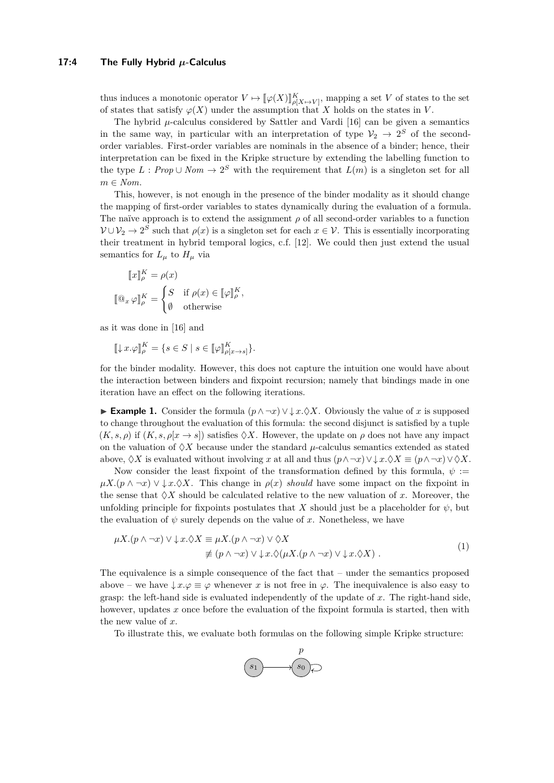#### **17:4 The Fully Hybrid** *µ***-Calculus**

thus induces a monotonic operator  $V \mapsto [\![\varphi(X)]\!]_{\ell[X \mapsto V]}^K$ , mapping a set *V* of states to the set<br>of states that estists  $\alpha(Y)$  under the assumption that *Y* halds on the states in *V* of states that satisfy  $\varphi(X)$  under the assumption that X holds on the states in V.

The hybrid *µ*-calculus considered by Sattler and Vardi [\[16\]](#page-15-2) can be given a semantics in the same way, in particular with an interpretation of type  $\mathcal{V}_2 \to 2^S$  of the secondorder variables. First-order variables are nominals in the absence of a binder; hence, their interpretation can be fixed in the Kripke structure by extending the labelling function to the type  $L: Prop \cup Nom \rightarrow 2^S$  with the requirement that  $L(m)$  is a singleton set for all  $m \in N$ *om*.

This, however, is not enough in the presence of the binder modality as it should change the mapping of first-order variables to states dynamically during the evaluation of a formula. The naïve approach is to extend the assignment  $\rho$  of all second-order variables to a function  $V \cup V_2 \to 2^S$  such that  $\rho(x)$  is a singleton set for each  $x \in V$ . This is essentially incorporating their treatment in hybrid temporal logics, c.f. [\[12\]](#page-14-6). We could then just extend the usual semantics for  $L_\mu$  to  $H_\mu$  via

$$
\llbracket x \rrbracket_{\rho}^{K} = \rho(x)
$$

$$
\llbracket \mathbb{Q}_x \varphi \rrbracket_{\rho}^{K} = \begin{cases} S & \text{if } \rho(x) \in \llbracket \varphi \rrbracket_{\rho}^{K}, \\ \emptyset & \text{otherwise} \end{cases}
$$

as it was done in [\[16\]](#page-15-2) and

$$
[\![\downarrow x.\varphi]\!]_P^K = \{ s \in S \mid s \in [\![\varphi]\!]_{\rho[x \to s]}^K \}.
$$

for the binder modality. However, this does not capture the intuition one would have about the interaction between binders and fixpoint recursion; namely that bindings made in one iteration have an effect on the following iterations.

<span id="page-3-1"></span>**Example 1.** Consider the formula  $(p \land \neg x) \lor \downarrow x. \Diamond X$ . Obviously the value of *x* is supposed to change throughout the evaluation of this formula: the second disjunct is satisfied by a tuple  $(K, s, \rho)$  if  $(K, s, \rho[x \to s])$  satisfies  $\Diamond X$ . However, the update on  $\rho$  does not have any impact on the valuation of  $\Diamond X$  because under the standard  $\mu$ -calculus semantics extended as stated above,  $\Diamond X$  is evaluated without involving *x* at all and thus  $(p \land \neg x) \lor \Diamond X \equiv (p \land \neg x) \lor \Diamond X$ .

Now consider the least fixpoint of the transformation defined by this formula,  $\psi$  :=  $\mu X.$ ( $p \wedge \neg x$ )  $\vee \downarrow x.$ )  $\Diamond X$ . This change in  $\rho(x)$  *should* have some impact on the fixpoint in the sense that  $\Diamond X$  should be calculated relative to the new valuation of x. Moreover, the unfolding principle for fixpoints postulates that *X* should just be a placeholder for  $\psi$ , but the evaluation of  $\psi$  surely depends on the value of x. Nonetheless, we have

$$
\mu X.(p \wedge \neg x) \vee \downarrow x. \Diamond X \equiv \mu X.(p \wedge \neg x) \vee \Diamond X
$$
  
\n
$$
\not\equiv (p \wedge \neg x) \vee \downarrow x. \Diamond (\mu X.(p \wedge \neg x) \vee \downarrow x. \Diamond X).
$$
\n(1)

The equivalence is a simple consequence of the fact that – under the semantics proposed above – we have  $\downarrow x.\varphi \equiv \varphi$  whenever *x* is not free in  $\varphi$ . The inequivalence is also easy to grasp: the left-hand side is evaluated independently of the update of *x*. The right-hand side, however, updates x once before the evaluation of the fixpoint formula is started, then with the new value of *x*.

To illustrate this, we evaluate both formulas on the following simple Kripke structure:

<span id="page-3-0"></span>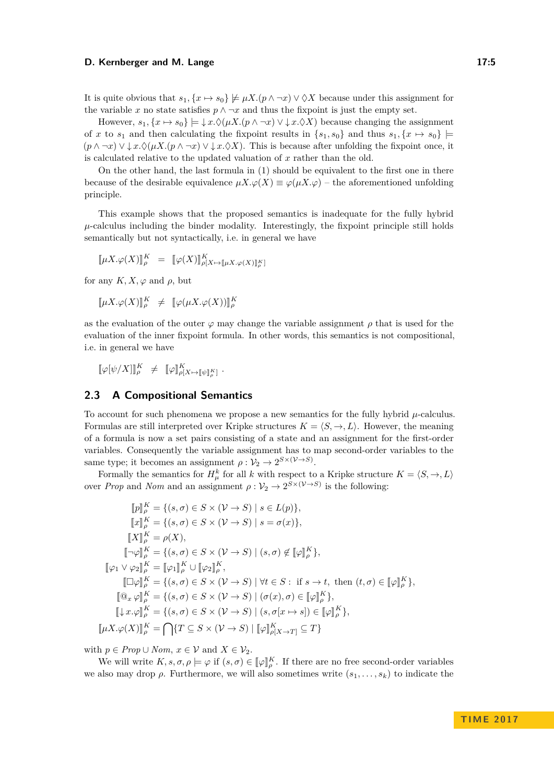#### **D. Kernberger and M. Lange 17:5**

It is quite obvious that  $s_1, \{x \mapsto s_0\} \not\models \mu X.((p \wedge \neg x) \vee \Diamond X)$  because under this assignment for the variable *x* no state satisfies  $p \wedge \neg x$  and thus the fixpoint is just the empty set.

However,  $s_1, \{x \mapsto s_0\} \models \downarrow x. \Diamond (\mu X. (p \land \neg x) \lor \downarrow x. \Diamond X)$  because changing the assignment of *x* to  $s_1$  and then calculating the fixpoint results in  $\{s_1, s_0\}$  and thus  $s_1, \{x \mapsto s_0\}$  $(p \wedge \neg x) \vee \downarrow x.\Diamond (\mu X.(p \wedge \neg x) \vee \downarrow x.\Diamond X)$ . This is because after unfolding the fixpoint once, it is calculated relative to the updated valuation of *x* rather than the old.

On the other hand, the last formula in [\(1\)](#page-3-0) should be equivalent to the first one in there because of the desirable equivalence  $\mu X.\varphi(X) \equiv \varphi(\mu X.\varphi)$  – the aforementioned unfolding principle.

This example shows that the proposed semantics is inadequate for the fully hybrid  $\mu$ -calculus including the binder modality. Interestingly, the fixpoint principle still holds semantically but not syntactically, i.e. in general we have

$$
[\![\mu X.\varphi(X)]\!]_{\rho}^K = [\![\varphi(X)]\!]_{\rho[X\mapsto[\![\mu X.\varphi(X)]\!]_{\rho}^K}^K
$$

for any  $K, X, \varphi$  and  $\rho$ , but

$$
[\![\mu X.\varphi(X)]\!]_{\rho}^K \neq [\![\varphi(\mu X.\varphi(X))] \!]_{\rho}^K
$$

as the evaluation of the outer  $\varphi$  may change the variable assignment  $\rho$  that is used for the evaluation of the inner fixpoint formula. In other words, this semantics is not compositional, i.e. in general we have

 $[\![\varphi[\psi/X]\!] \!]_P^K \neq [\![\varphi]\!]_{\rho[X\mapsto[\![\psi]\!]_P^K}.$ 

### **2.3 A Compositional Semantics**

To account for such phenomena we propose a new semantics for the fully hybrid *µ*-calculus. Formulas are still interpreted over Kripke structures  $K = \langle S, \to, L \rangle$ . However, the meaning of a formula is now a set pairs consisting of a state and an assignment for the first-order variables. Consequently the variable assignment has to map second-order variables to the same type; it becomes an assignment  $\rho: \mathcal{V}_2 \to 2^{S \times (\mathcal{V} \to S)}$ .

Formally the semantics for  $H^k_\mu$  for all *k* with respect to a Kripke structure  $K = \langle S, \to, L \rangle$ over *Prop* and *Nom* and an assignment  $\rho: \mathcal{V}_2 \to 2^{S \times (\mathcal{V} \to S)}$  is the following:

$$
[\![p]\!]_{\rho}^{K} = \{(s, \sigma) \in S \times (\mathcal{V} \to S) \mid s \in L(p)\},
$$
  
\n
$$
[\![x]\!]_{\rho}^{K} = \{(s, \sigma) \in S \times (\mathcal{V} \to S) \mid s = \sigma(x)\},
$$
  
\n
$$
[\![X]\!]_{\rho}^{K} = \rho(X),
$$
  
\n
$$
[\![\neg \varphi]\!]_{\rho}^{K} = \{(s, \sigma) \in S \times (\mathcal{V} \to S) \mid (s, \sigma) \notin [\![\varphi]\!]_{\rho}^{K}\},
$$
  
\n
$$
[\![\varphi_1 \vee \varphi_2]\!]_{\rho}^{K} = [\![\varphi_1]\!]_{\rho}^{K} \cup [\![\varphi_2]\!]_{\rho}^{K},
$$
  
\n
$$
[\![\Box \varphi]\!]_{\rho}^{K} = \{(s, \sigma) \in S \times (\mathcal{V} \to S) \mid \forall t \in S : \text{ if } s \to t, \text{ then } (t, \sigma) \in [\![\varphi]\!]_{\rho}^{K}\},
$$
  
\n
$$
[\![\Box x \cdot \varphi]\!]_{\rho}^{K} = \{(s, \sigma) \in S \times (\mathcal{V} \to S) \mid (\sigma(x), \sigma) \in [\![\varphi]\!]_{\rho}^{K}\},
$$
  
\n
$$
[\![\mu x \cdot \varphi]\!]_{\rho}^{K} = \{(s, \sigma) \in S \times (\mathcal{V} \to S) \mid (s, \sigma[x \mapsto s]) \in [\![\varphi]\!]_{\rho}^{K}\},
$$
  
\n
$$
[\![\mu X \cdot \varphi(X)]\!]_{\rho}^{K} = \bigcap \{T \subseteq S \times (\mathcal{V} \to S) \mid [\![\varphi]\!]_{\rho[X \mapsto T]}^{K} \subseteq T\}
$$

with  $p \in Prop \cup Nom, x \in V$  and  $X \in V_2$ .

We will write  $K, s, \sigma, \rho \models \varphi$  if  $(s, \sigma) \in [\![\varphi]\!]_p^K$ . If there are no free second-order variables we also may drop  $\rho$ . Furthermore, we will also sometimes write  $(s_1, \ldots, s_k)$  to indicate the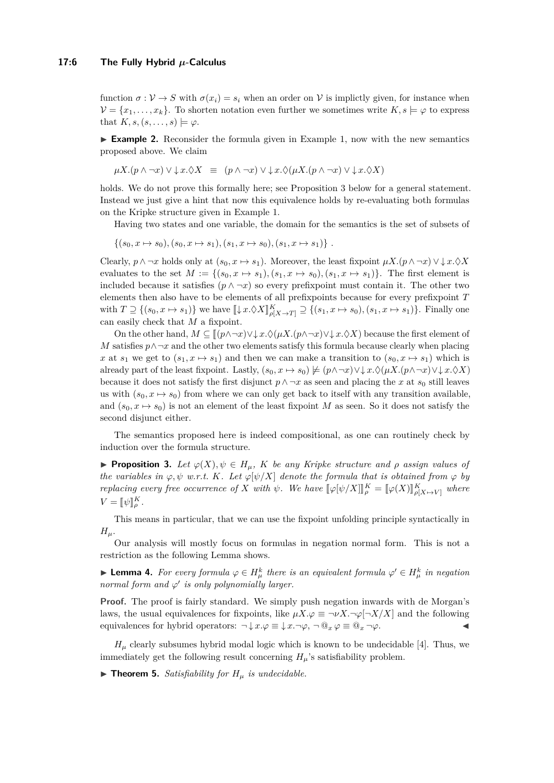#### **17:6 The Fully Hybrid** *µ***-Calculus**

function  $\sigma : \mathcal{V} \to S$  with  $\sigma(x_i) = s_i$  when an order on V is implictly given, for instance when  $\mathcal{V} = \{x_1, \ldots, x_k\}$ . To shorten notation even further we sometimes write  $K, s \models \varphi$  to express that  $K, s, (s, \ldots, s) \models \varphi$ .

 $\triangleright$  **Example 2.** Reconsider the formula given in Example [1,](#page-3-1) now with the new semantics proposed above. We claim

$$
\mu X.(p \wedge \neg x) \vee \downarrow x. \Diamond X \equiv (p \wedge \neg x) \vee \downarrow x. \Diamond (\mu X.(p \wedge \neg x) \vee \downarrow x. \Diamond X)
$$

holds. We do not prove this formally here; see Proposition [3](#page-5-0) below for a general statement. Instead we just give a hint that now this equivalence holds by re-evaluating both formulas on the Kripke structure given in Example [1.](#page-3-1)

Having two states and one variable, the domain for the semantics is the set of subsets of

 $\{(s_0, x \mapsto s_0), (s_0, x \mapsto s_1), (s_1, x \mapsto s_0), (s_1, x \mapsto s_1)\}\.$ 

Clearly,  $p \wedge \neg x$  holds only at  $(s_0, x \mapsto s_1)$ . Moreover, the least fixpoint  $\mu X.(p \wedge \neg x) \vee \downarrow x.\Diamond X$ evaluates to the set  $M := \{(s_0, x \mapsto s_1), (s_1, x \mapsto s_0), (s_1, x \mapsto s_1)\}\.$  The first element is included because it satisfies  $(p \wedge \neg x)$  so every prefixpoint must contain it. The other two elements then also have to be elements of all prefixpoints because for every prefixpoint *T* with  $T \supseteq \{(s_0, x \mapsto s_1)\}$  we have  $[\downarrow x.\Diamond X]_{\rho[X \to T]}^K \supseteq \{(s_1, x \mapsto s_0), (s_1, x \mapsto s_1)\}$ . Finally one can easily check that *M* a fixpoint.

On the other hand,  $M \subseteq [(p \land \neg x) \lor \downarrow x. \Diamond (\mu X.(p \land \neg x) \lor \downarrow x. \Diamond X)$  because the first element of *M* satisfies *p*∧¬*x* and the other two elements satisfy this formula because clearly when placing *x* at  $s_1$  we get to  $(s_1, x \mapsto s_1)$  and then we can make a transition to  $(s_0, x \mapsto s_1)$  which is already part of the least fixpoint. Lastly,  $(s_0, x \mapsto s_0) \not\models (p \wedge \neg x) \vee \downarrow x. \Diamond (\mu X. (p \wedge \neg x) \vee \downarrow x. \Diamond X)$ because it does not satisfy the first disjunct  $p \wedge \neg x$  as seen and placing the *x* at  $s_0$  still leaves us with  $(s_0, x \mapsto s_0)$  from where we can only get back to itself with any transition available, and  $(s_0, x \mapsto s_0)$  is not an element of the least fixpoint *M* as seen. So it does not satisfy the second disjunct either.

The semantics proposed here is indeed compositional, as one can routinely check by induction over the formula structure.

<span id="page-5-0"></span>**► Proposition 3.** Let  $\varphi(X), \psi \in H_\mu$ , *K* be any *Kripke structure and*  $\rho$  *assign values of the variables in*  $\varphi, \psi$  *w.r.t. K. Let*  $\varphi[\psi/X]$  *denote the formula that is obtained from*  $\varphi$  *by replacing every free occurrence of X with*  $\psi$ . We have  $[\![\varphi[\psi/X]\!]_P^K = [\![\varphi(X)]\!]_{\rho[X \mapsto V]}^K$  where  $V = [\![\psi]\!]_{\rho}^{K}$ .

This means in particular, that we can use the fixpoint unfolding principle syntactically in  $H_\mu$ .

Our analysis will mostly focus on formulas in negation normal form. This is not a restriction as the following Lemma shows.

► **Lemma 4.** For every formula  $\varphi \in H^k_\mu$  there is an equivalent formula  $\varphi' \in H^k_\mu$  in negation *normal form and*  $\varphi'$  *is only polynomially larger.* 

**Proof.** The proof is fairly standard. We simply push negation inwards with de Morgan's laws, the usual equivalences for fixpoints, like  $\mu X.\varphi \equiv \neg \nu X.\neg \varphi[\neg X/X]$  and the following equivalences for hybrid operators:  $\neg \downarrow x.\varphi \equiv \downarrow x.\neg \varphi, \neg \mathbb{Q}_x \varphi \equiv \mathbb{Q}_x \neg \varphi.$ 

 $H_\mu$  clearly subsumes hybrid modal logic which is known to be undecidable [\[4\]](#page-14-0). Thus, we immediately get the following result concerning  $H<sub>u</sub>$ 's satisfiability problem.

 $\blacktriangleright$  **Theorem 5.** *Satisfiability for*  $H_\mu$  *is undecidable.*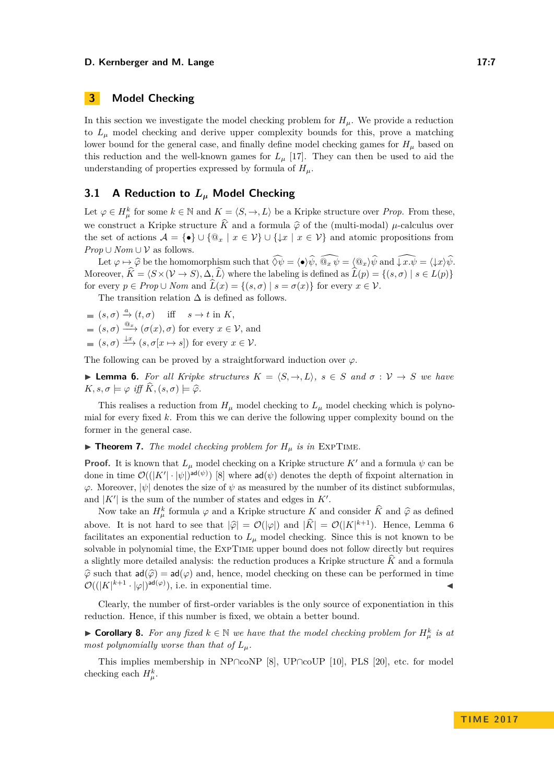#### **D. Kernberger and M. Lange 17:7** and 17:7

# <span id="page-6-0"></span>**3 Model Checking**

In this section we investigate the model checking problem for  $H_\mu$ . We provide a reduction to  $L<sub>\mu</sub>$  model checking and derive upper complexity bounds for this, prove a matching lower bound for the general case, and finally define model checking games for  $H_\mu$  based on this reduction and the well-known games for  $L<sub>\mu</sub>$  [\[17\]](#page-15-3). They can then be used to aid the understanding of properties expressed by formula of *Hµ*.

### **3.1 A Reduction to** *L<sup>µ</sup>* **Model Checking**

Let  $\varphi \in H^k_\mu$  for some  $k \in \mathbb{N}$  and  $K = \langle S, \to, L \rangle$  be a Kripke structure over *Prop*. From these, we construct a Kripke structure  $\hat{K}$  and a formula  $\hat{\varphi}$  of the (multi-modal)  $\mu$ -calculus over the set of actions  $\mathcal{A} = \{ \bullet \} \cup \{ \mathbb{Q}_x \mid x \in \mathcal{V} \} \cup \{ \downarrow x \mid x \in \mathcal{V} \}$  and atomic propositions from *Prop* ∪ *Nom* ∪  $V$  as follows.

Let  $\varphi \mapsto \widehat{\varphi}$  be the homomorphism such that  $\widehat{\Diamond \psi} = \langle \bullet \rangle \widehat{\psi}, \widehat{\mathbb{Q}_x \psi} = \langle \mathbb{Q}_x \rangle \widehat{\psi}$  and  $\widehat{\downarrow x \cdot \psi} = \langle \downarrow x \rangle \widehat{\psi}$ . Moreover,  $\hat{K} = \langle S \times (V \to S), \Delta, \hat{L} \rangle$  where the labeling is defined as  $\hat{L}(p) = \{(s, \sigma) | s \in L(p)\}\$ for every  $p \in Prop \cup Nom$  and  $\widehat{L}(x) = \{(s, \sigma) | s = \sigma(x)\}\$ for every  $x \in V$ .

The transition relation  $\Delta$  is defined as follows.

- $(s, \sigma) \stackrel{a}{\rightarrow} (t, \sigma)$  iff  $s \rightarrow t$  in  $K$ ,
- $(s, \sigma) \xrightarrow{\mathbb{Q}_x} (\sigma(x), \sigma)$  for every  $x \in \mathcal{V}$ , and
- $(s, \sigma) \xrightarrow{\downarrow x} (s, \sigma[x \mapsto s])$  for every  $x \in \mathcal{V}$ .

The following can be proved by a straightforward induction over  $\varphi$ .

<span id="page-6-1"></span> $▶$  **Lemma 6.** For all Kripke structures  $K = \langle S, \rightarrow, L \rangle$ ,  $s \in S$  and  $\sigma : V \rightarrow S$  we have  $K, s, \sigma \models \varphi \text{ iff } K, (s, \sigma) \models \widehat{\varphi}.$ 

This realises a reduction from  $H_\mu$  model checking to  $L_\mu$  model checking which is polynomial for every fixed *k*. From this we can derive the following upper complexity bound on the former in the general case.

 $\blacktriangleright$  **Theorem 7.** *The model checking problem for*  $H_\mu$  *is in* EXPTIME.

**Proof.** It is known that  $L<sub>\mu</sub>$  model checking on a Kripke structure K' and a formula  $\psi$  can be done in time  $\mathcal{O}((|K'|\cdot|\psi|)^{ad(\psi)})$  [\[8\]](#page-14-8) where  $ad(\psi)$  denotes the depth of fixpoint alternation in  $\varphi$ . Moreover,  $|\psi|$  denotes the size of  $\psi$  as measured by the number of its distinct subformulas, and  $|K'|$  is the sum of the number of states and edges in  $K'$ .

Now take an  $H^k_\mu$  formula  $\varphi$  and a Kripke structure *K* and consider  $\hat{K}$  and  $\hat{\varphi}$  as defined above. It is not hard to see that  $|\hat{\varphi}| = \mathcal{O}(|\varphi|)$  and  $|\hat{K}| = \mathcal{O}(|K|^{k+1})$ . Hence, Lemma [6](#page-6-1) facilitates an exponential reduction to  $L<sub>\mu</sub>$  model checking. Since this is not known to be solvable in polynomial time, the ExpTime upper bound does not follow directly but requires a slightly more detailed analysis: the reduction produces a Kripke structure  $\hat{K}$  and a formula  $\hat{\varphi}$  such that  $ad(\hat{\varphi}) = ad(\varphi)$  and, hence, model checking on these can be performed in time  $\mathcal{O}((|K|^{k+1} \cdot |\varphi|)^{\mathsf{ad}(\varphi)})$ , i.e. in exponential time.

Clearly, the number of first-order variables is the only source of exponentiation in this reduction. Hence, if this number is fixed, we obtain a better bound.

► **Corollary 8.** For any fixed  $k \in \mathbb{N}$  we have that the model checking problem for  $H^k_\mu$  is at *most polynomially worse than that of*  $L_{\mu}$ *.* 

This implies membership in NP∩coNP [\[8\]](#page-14-8), UP∩coUP [\[10\]](#page-14-9), PLS [\[20\]](#page-15-5), etc. for model checking each  $H^k_\mu$ .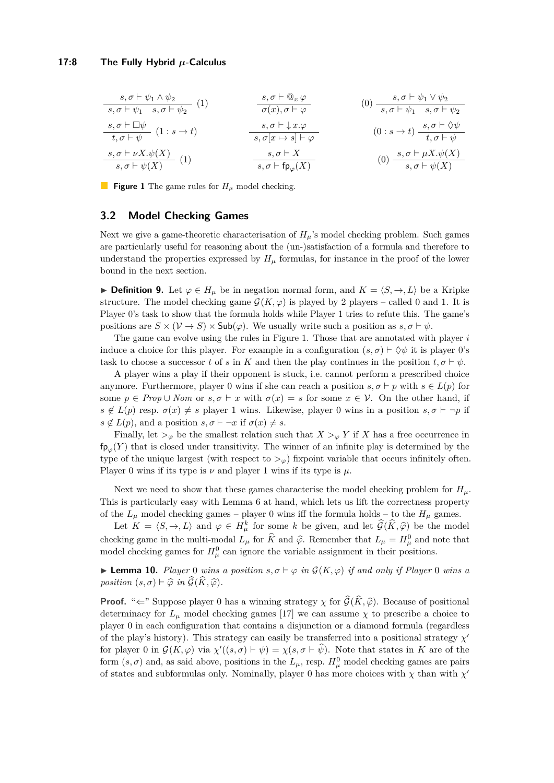#### **17:8 The Fully Hybrid** *µ***-Calculus**

<span id="page-7-0"></span>

| $s, \sigma \vdash \psi_1 \land \psi_2$ | $s, \sigma \vdash \psi_1 \land \psi_2$ | $s, \sigma \vdash \psi_1 \land \psi_2$ | $s, \sigma \vdash \psi_1 \land \psi_2$                                                                                                                                                                                                                                                                                                                                                                                                                                                                                                                                                                                                                                                                                                                                                                                                                                                                                                                                                                                                | $s, \sigma \vdash \psi_1 \land \psi_2$ |
|----------------------------------------|----------------------------------------|----------------------------------------|---------------------------------------------------------------------------------------------------------------------------------------------------------------------------------------------------------------------------------------------------------------------------------------------------------------------------------------------------------------------------------------------------------------------------------------------------------------------------------------------------------------------------------------------------------------------------------------------------------------------------------------------------------------------------------------------------------------------------------------------------------------------------------------------------------------------------------------------------------------------------------------------------------------------------------------------------------------------------------------------------------------------------------------|----------------------------------------|
| $s, \sigma \vdash \Box \psi$           | $(1 : s \rightarrow t)$                | $s, \sigma \vdash \bot x. \varphi$     | $(0) \quad s, \sigma \vdash \psi_1 \land \psi_2 \vdash \psi_2$                                                                                                                                                                                                                                                                                                                                                                                                                                                                                                                                                                                                                                                                                                                                                                                                                                                                                                                                                                        |                                        |
| $s, \sigma \vdash \Box \psi$           | $(1 : s \rightarrow t)$                | $s, \sigma \vdash \bot x. \varphi$     | $(0 : s \rightarrow t) \quad \frac{s, \sigma \vdash \Diamond \psi_1 \land \psi_2 \land \psi_2 \land \psi_1 \land \psi_2 \land \psi_2 \land \psi_1 \land \psi_2 \land \psi_2 \land \psi_2 \land \psi_2 \land \psi_2 \land \psi_2 \land \psi_2 \land \psi_2 \land \psi_2 \land \psi_2 \land \psi_2 \land \psi_2 \land \psi_2 \land \psi_2 \land \psi_2 \land \psi_2 \land \psi_2 \land \psi_2 \land \psi_2 \land \psi_2 \land \psi_2 \land \psi_2 \land \psi_2 \land \psi_2 \land \psi_2 \land \psi_2 \land \psi_2 \land \psi_2 \land \psi_2 \land \psi_2 \land \psi_2 \land \psi_2 \land \psi_2 \land \psi_2 \land \psi_2 \land \psi_2 \land \psi_2 \land \psi_2 \land \psi_2 \land \psi_2 \land \psi_2 \land \psi_2 \land \psi_2 \land \psi_2 \land \psi_2 \land \psi_2 \land \psi_2 \land \psi_2 \land \psi_2 \land \psi_2 \land \psi_2 \land \psi_2 \land \psi_2 \land \psi_2 \land \psi_2 \land \psi_2 \land \psi_2 \land \psi_2 \land \psi_2 \land \psi_2 \land \psi_2 \land \psi_2 \land \psi_2 \land \psi_2 \land \psi_2 \land$ |                                        |

■ **Figure 1** The game rules for  $H$ <sup>*µ*</sup> model checking.

### <span id="page-7-2"></span>**3.2 Model Checking Games**

Next we give a game-theoretic characterisation of  $H_\mu$ 's model checking problem. Such games are particularly useful for reasoning about the (un-)satisfaction of a formula and therefore to understand the properties expressed by  $H<sub>\mu</sub>$  formulas, for instance in the proof of the lower bound in the next section.

**► Definition 9.** Let  $\varphi \in H_\mu$  be in negation normal form, and  $K = \langle S, \to, L \rangle$  be a Kripke structure. The model checking game  $\mathcal{G}(K,\varphi)$  is played by 2 players – called 0 and 1. It is Player 0's task to show that the formula holds while Player 1 tries to refute this. The game's positions are  $S \times (\mathcal{V} \to S) \times Sub(\varphi)$ . We usually write such a position as  $s, \sigma \vdash \psi$ .

The game can evolve using the rules in Figure [1.](#page-7-0) Those that are annotated with player *i* induce a choice for this player. For example in a configuration  $(s, \sigma) \vdash \Diamond \psi$  it is player 0's task to choose a successor *t* of *s* in *K* and then the play continues in the position  $t, \sigma \vdash \psi$ .

A player wins a play if their opponent is stuck, i.e. cannot perform a prescribed choice anymore. Furthermore, player 0 wins if she can reach a position  $s, \sigma \vdash p$  with  $s \in L(p)$  for some  $p \in Prop \cup Nom$  or  $s, \sigma \vdash x$  with  $\sigma(x) = s$  for some  $x \in V$ . On the other hand, if  $s \notin L(p)$  resp.  $\sigma(x) \neq s$  player 1 wins. Likewise, player 0 wins in a position  $s, \sigma \vdash \neg p$  if  $s \notin L(p)$ , and a position  $s, \sigma \vdash \neg x$  if  $\sigma(x) \neq s$ .

Finally, let  $>_{\varphi}$  be the smallest relation such that  $X >_{\varphi} Y$  if X has a free occurrence in  $f_{\mathsf{P}_{\varphi}}(Y)$  that is closed under transitivity. The winner of an infinite play is determined by the type of the unique largest (with respect to  $>_{\varphi}$ ) fixpoint variable that occurs infinitely often. Player 0 wins if its type is  $\nu$  and player 1 wins if its type is  $\mu$ .

Next we need to show that these games characterise the model checking problem for  $H_\mu$ . This is particularly easy with Lemma [6](#page-6-1) at hand, which lets us lift the correctness property of the  $L_\mu$  model checking games – player 0 wins iff the formula holds – to the  $H_\mu$  games.

Let  $K = \langle S, \to, L \rangle$  and  $\varphi \in H^k_\mu$  for some *k* be given, and let  $\widehat{\mathcal{G}}(\widehat{K}, \widehat{\varphi})$  be the model checking game in the multi-modal  $L_{\mu}$  for  $\widehat{K}$  and  $\widehat{\varphi}$ . Remember that  $L_{\mu} = H_{\mu}^{0}$  and note that model checking games for  $H^0_\mu$  can ignore the variable assignment in their positions.

<span id="page-7-1"></span> $▶$  **Lemma 10.** *Player* 0 *wins a position*  $s, σ ⊢ φ$  *in*  $G(K, φ)$  *if and only if Player* 0 *wins a position*  $(s, \sigma) \vdash \widehat{\varphi}$  *in*  $\widehat{\mathcal{G}}(\widehat{K}, \widehat{\varphi})$ *.* 

**Proof.** " $\Leftarrow$ " Suppose player 0 has a winning strategy *χ* for  $\widehat{\mathcal{G}}(\widehat{K}, \widehat{\varphi})$ . Because of positional determinacy for  $L_\mu$  model checking games [\[17\]](#page-15-3) we can assume  $\chi$  to prescribe a choice to player 0 in each configuration that contains a disjunction or a diamond formula (regardless of the play's history). This strategy can easily be transferred into a positional strategy  $\chi'$ for player 0 in  $\mathcal{G}(K,\varphi)$  via  $\chi'((s,\sigma) \vdash \psi) = \chi(s,\sigma \vdash \widehat{\psi})$ . Note that states in *K* are of the form  $(s, \sigma)$  and, as said above, positions in the  $L_{\mu}$ , resp.  $H_{\mu}^{0}$  model checking games are pairs of states and subformulas only. Nominally, player 0 has more choices with  $\chi$  than with  $\chi'$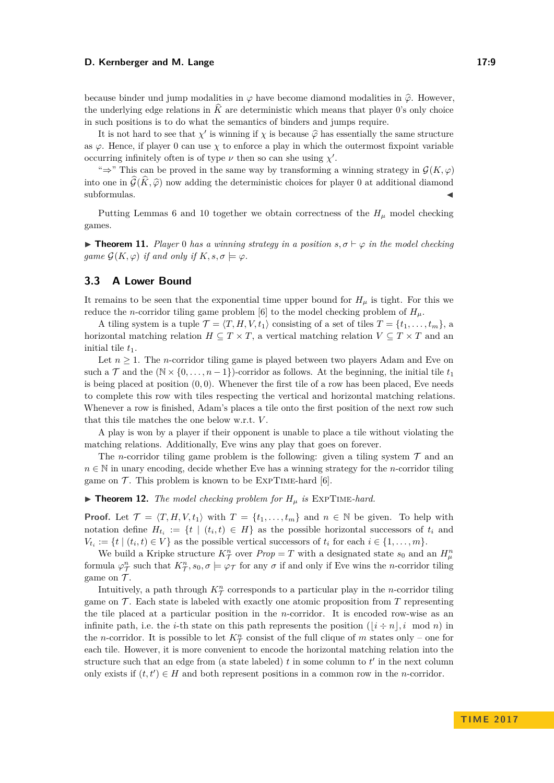#### **D. Kernberger and M. Lange 17:9** 2014

because binder und jump modalities in  $\varphi$  have become diamond modalities in  $\hat{\varphi}$ . However, the underlying edge relations in  $\widehat{K}$  are deterministic which means that player 0's only choice in such positions is to do what the semantics of binders and jumps require.

It is not hard to see that  $\chi'$  is winning if  $\chi$  is because  $\hat{\varphi}$  has essentially the same structure as  $\varphi$ . Hence, if player 0 can use  $\chi$  to enforce a play in which the outermost fixpoint variable occurring infinitely often is of type  $\nu$  then so can she using  $\chi'$ .

" $\Rightarrow$ " This can be proved in the same way by transforming a winning strategy in  $\mathcal{G}(K,\varphi)$ into one in  $\widehat{\mathcal{G}}(\widehat{K}, \widehat{\varphi})$  now adding the deterministic choices for player 0 at additional diamond subformulas.  $subformulas.$ 

Putting Lemmas [6](#page-6-1) and [10](#page-7-1) together we obtain correctness of the  $H_\mu$  model checking games.

<span id="page-8-0"></span>**Find 11.** *Player* 0 *has a winning strategy in a position*  $s, \sigma \vdash \varphi$  *in the model checking game*  $\mathcal{G}(K, \varphi)$  *if and only if*  $K, s, \sigma \models \varphi$ *.* 

### **3.3 A Lower Bound**

It remains to be seen that the exponential time upper bound for  $H<sub>u</sub>$  is tight. For this we reduce the *n*-corridor tiling game problem [\[6\]](#page-14-10) to the model checking problem of  $H_u$ .

A tiling system is a tuple  $\mathcal{T} = \langle T, H, V, t_1 \rangle$  consisting of a set of tiles  $T = \{t_1, \ldots, t_m\}$ , a horizontal matching relation  $H \subseteq T \times T$ , a vertical matching relation  $V \subseteq T \times T$  and an initial tile  $t_1$ .

Let  $n \geq 1$ . The *n*-corridor tiling game is played between two players Adam and Eve on such a  $\mathcal T$  and the  $(\mathbb N \times \{0,\ldots,n-1\})$ -corridor as follows. At the beginning, the initial tile  $t_1$ is being placed at position  $(0,0)$ . Whenever the first tile of a row has been placed, Eve needs to complete this row with tiles respecting the vertical and horizontal matching relations. Whenever a row is finished, Adam's places a tile onto the first position of the next row such that this tile matches the one below w.r.t. *V* .

A play is won by a player if their opponent is unable to place a tile without violating the matching relations. Additionally, Eve wins any play that goes on forever.

The *n*-corridor tiling game problem is the following: given a tiling system  $\mathcal T$  and an  $n \in \mathbb{N}$  in unary encoding, decide whether Eve has a winning strategy for the *n*-corridor tiling game on  $\mathcal T$ . This problem is known to be EXPTIME-hard [\[6\]](#page-14-10).

 $\triangleright$  **Theorem 12.** *The model checking problem for*  $H_\mu$  *is* EXPTIME-hard.

**Proof.** Let  $\mathcal{T} = \langle T, H, V, t_1 \rangle$  with  $T = \{t_1, \ldots, t_m\}$  and  $n \in \mathbb{N}$  be given. To help with notation define  $H_{t_i} := \{t \mid (t_i, t) \in H\}$  as the possible horizontal successors of  $t_i$  and  $V_{t_i} := \{t \mid (t_i, t) \in V\}$  as the possible vertical successors of  $t_i$  for each  $i \in \{1, \ldots, m\}$ .

We build a Kripke structure  $K^n_\mathcal{T}$  over  $Prop = T$  with a designated state  $s_0$  and an  $H^n_\mu$ formula  $\varphi_{\mathcal{T}}^n$  such that  $K_{\mathcal{T}}^n$ ,  $s_0$ ,  $\sigma \models \varphi_{\mathcal{T}}$  for any  $\sigma$  if and only if Eve wins the *n*-corridor tiling game on  $\mathcal{T}$ .

Intuitively, a path through  $K^n_\mathcal{T}$  corresponds to a particular play in the *n*-corridor tiling game on  $\mathcal T$ . Each state is labeled with exactly one atomic proposition from  $T$  representing the tile placed at a particular position in the *n*-corridor. It is encoded row-wise as an infinite path, i.e. the *i*-th state on this path represents the position  $(i \div n), i \mod n$  in the *n*-corridor. It is possible to let  $K^{\hat{n}}_{\mathcal{T}}$  consist of the full clique of *m* states only – one for each tile. However, it is more convenient to encode the horizontal matching relation into the structure such that an edge from (a state labeled)  $t$  in some column to  $t'$  in the next column only exists if  $(t, t') \in H$  and both represent positions in a common row in the *n*-corridor.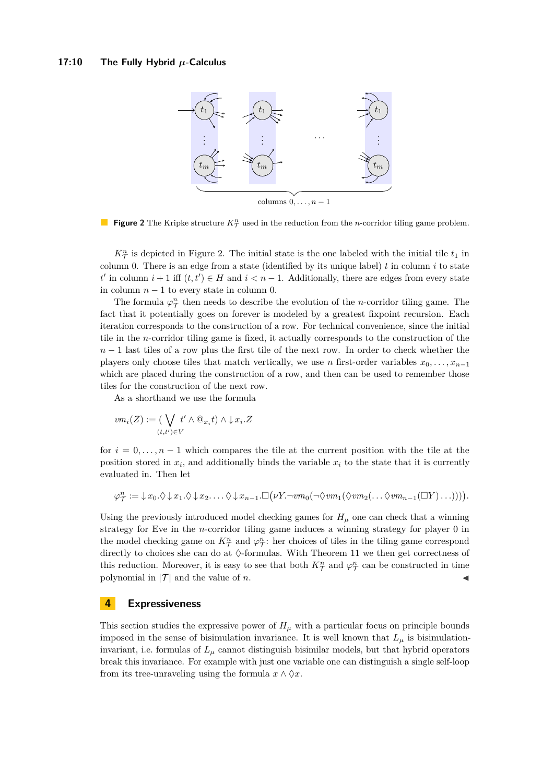#### <span id="page-9-1"></span>**17:10 The Fully Hybrid** *µ***-Calculus**



**Figure 2** The Kripke structure  $K^n_\mathcal{T}$  used in the reduction from the *n*-corridor tiling game problem.

 $K^{\hat{n}}_{\mathcal{T}}$  is depicted in Figure [2.](#page-9-1) The initial state is the one labeled with the initial tile  $t_1$  in column 0. There is an edge from a state (identified by its unique label)  $t$  in column  $i$  to state *t*  $t'$  in column  $i + 1$  iff  $(t, t') \in H$  and  $i < n - 1$ . Additionally, there are edges from every state in column  $n-1$  to every state in column 0.

The formula  $\varphi_{\mathcal{T}}^n$  then needs to describe the evolution of the *n*-corridor tiling game. The fact that it potentially goes on forever is modeled by a greatest fixpoint recursion. Each iteration corresponds to the construction of a row. For technical convenience, since the initial tile in the *n*-corridor tiling game is fixed, it actually corresponds to the construction of the *n* − 1 last tiles of a row plus the first tile of the next row. In order to check whether the players only choose tiles that match vertically, we use *n* first-order variables  $x_0, \ldots, x_{n-1}$ which are placed during the construction of a row, and then can be used to remember those tiles for the construction of the next row.

As a shorthand we use the formula

$$
vm_i(Z) := (\bigvee_{(t,t') \in V} t' \land @_{x_i}t) \land \downarrow x_i.Z
$$

for  $i = 0, \ldots, n-1$  which compares the tile at the current position with the tile at the position stored in  $x_i$ , and additionally binds the variable  $x_i$  to the state that it is currently evaluated in. Then let

$$
\varphi_T^n := \downarrow x_0. \Diamond \downarrow x_1. \Diamond \downarrow x_2. \dots \Diamond \downarrow x_{n-1}.\Box(\nu Y.\neg \textit{vm}_0(\neg \Diamond \textit{vm}_1(\Diamond \textit{vm}_2(\dots \Diamond \textit{vm}_{n-1}(\Box Y)\dots))))).
$$

Using the previously introduced model checking games for  $H<sub>\mu</sub>$  one can check that a winning strategy for Eve in the *n*-corridor tiling game induces a winning strategy for player 0 in the model checking game on  $K^n_\mathcal{T}$  and  $\varphi^n_\mathcal{T}$ : her choices of tiles in the tiling game correspond directly to choices she can do at  $\Diamond$ -formulas. With Theorem [11](#page-8-0) we then get correctness of this reduction. Moreover, it is easy to see that both  $K^n_\mathcal{T}$  and  $\varphi^n_\mathcal{T}$  can be constructed in time polynomial in  $|\mathcal{T}|$  and the value of *n*.

### <span id="page-9-0"></span>**4 Expressiveness**

This section studies the expressive power of  $H<sub>\mu</sub>$  with a particular focus on principle bounds imposed in the sense of bisimulation invariance. It is well known that  $L_{\mu}$  is bisimulationinvariant, i.e. formulas of  $L<sub>u</sub>$  cannot distinguish bisimilar models, but that hybrid operators break this invariance. For example with just one variable one can distinguish a single self-loop from its tree-unraveling using the formula  $x \wedge \Diamond x$ .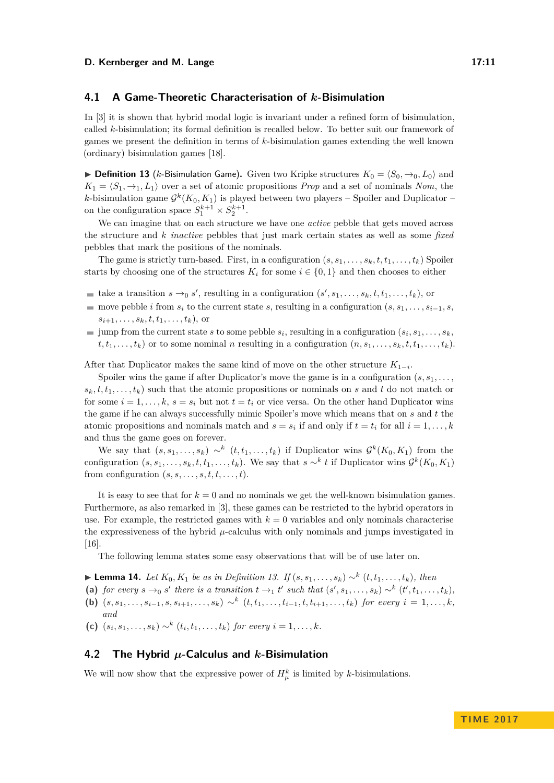### **4.1 A Game-Theoretic Characterisation of** *k***-Bisimulation**

In [\[3\]](#page-14-3) it is shown that hybrid modal logic is invariant under a refined form of bisimulation, called *k*-bisimulation; its formal definition is recalled below. To better suit our framework of games we present the definition in terms of *k*-bisimulation games extending the well known (ordinary) bisimulation games [\[18\]](#page-15-4).

<span id="page-10-0"></span>▶ **Definition 13** (*k*-Bisimulation Game). Given two Kripke structures  $K_0 = \langle S_0, \rightarrow_0, L_0 \rangle$  and  $K_1 = \langle S_1, \rightarrow_1, L_1 \rangle$  over a set of atomic propositions *Prop* and a set of nominals *Nom*, the *k*-bisimulation game  $\mathcal{G}^k(K_0, K_1)$  is played between two players – Spoiler and Duplicator – on the configuration space  $S_1^{k+1} \times S_2^{k+1}$ .

We can imagine that on each structure we have one *active* pebble that gets moved across the structure and *k inactive* pebbles that just mark certain states as well as some *fixed* pebbles that mark the positions of the nominals.

The game is strictly turn-based. First, in a configuration  $(s, s_1, \ldots, s_k, t, t_1, \ldots, t_k)$  Spoiler starts by choosing one of the structures  $K_i$  for some  $i \in \{0,1\}$  and then chooses to either

- take a transition  $s \rightarrow 0$  *s*', resulting in a configuration  $(s', s_1, \ldots, s_k, t, t_1, \ldots, t_k)$ , or
- move pebble *i* from  $s_i$  to the current state *s*, resulting in a configuration  $(s, s_1, \ldots, s_{i-1}, s_i)$  $s_{i+1}, \ldots, s_k, t, t_1, \ldots, t_k$ , or
- jump from the current state *s* to some pebble  $s_i$ , resulting in a configuration  $(s_i, s_1, \ldots, s_k,$  $t, t_1, \ldots, t_k$  or to some nominal *n* resulting in a configuration  $(n, s_1, \ldots, s_k, t, t_1, \ldots, t_k)$ .

After that Duplicator makes the same kind of move on the other structure  $K_{1-i}$ .

Spoiler wins the game if after Duplicator's move the game is in a configuration  $(s, s_1, \ldots,$  $s_k, t, t_1, \ldots, t_k$  such that the atomic propositions or nominals on *s* and *t* do not match or for some  $i = 1, \ldots, k$ ,  $s = s_i$  but not  $t = t_i$  or vice versa. On the other hand Duplicator wins the game if he can always successfully mimic Spoiler's move which means that on *s* and *t* the atomic propositions and nominals match and  $s = s_i$  if and only if  $t = t_i$  for all  $i = 1, \ldots, k$ and thus the game goes on forever.

We say that  $(s, s_1, \ldots, s_k) \sim^k (t, t_1, \ldots, t_k)$  if Duplicator wins  $\mathcal{G}^k(K_0, K_1)$  from the configuration  $(s, s_1, \ldots, s_k, t, t_1, \ldots, t_k)$ . We say that  $s \sim^k t$  if Duplicator wins  $\mathcal{G}^k(K_0, K_1)$ from configuration  $(s, s, \ldots, s, t, t, \ldots, t)$ .

It is easy to see that for  $k = 0$  and no nominals we get the well-known bisimulation games. Furthermore, as also remarked in [\[3\]](#page-14-3), these games can be restricted to the hybrid operators in use. For example, the restricted games with  $k = 0$  variables and only nominals characterise the expressiveness of the hybrid *µ*-calculus with only nominals and jumps investigated in [\[16\]](#page-15-2).

The following lemma states some easy observations that will be of use later on.

- <span id="page-10-1"></span>► **Lemma 14.** *Let*  $K_0, K_1$  *be as in Definition [13.](#page-10-0) If*  $(s, s_1, \ldots, s_k) \sim^k (t, t_1, \ldots, t_k)$ *, then*
- (a) for every  $s \to_0 s'$  there is a transition  $t \to_1 t'$  such that  $(s', s_1, \ldots, s_k) \sim^k (t', t_1, \ldots, t_k)$ ,
- (b)  $(s, s_1, \ldots, s_{i-1}, s, s_{i+1}, \ldots, s_k) \sim^k (t, t_1, \ldots, t_{i-1}, t, t_{i+1}, \ldots, t_k)$  for every  $i = 1, \ldots, k$ , *and*
- **(c)**  $(s_i, s_1, \ldots, s_k) \sim^k (t_i, t_1, \ldots, t_k)$  for every  $i = 1, \ldots, k$ .

### **4.2 The Hybrid** *µ***-Calculus and** *k***-Bisimulation**

We will now show that the expressive power of  $H^k_\mu$  is limited by *k*-bisimulations.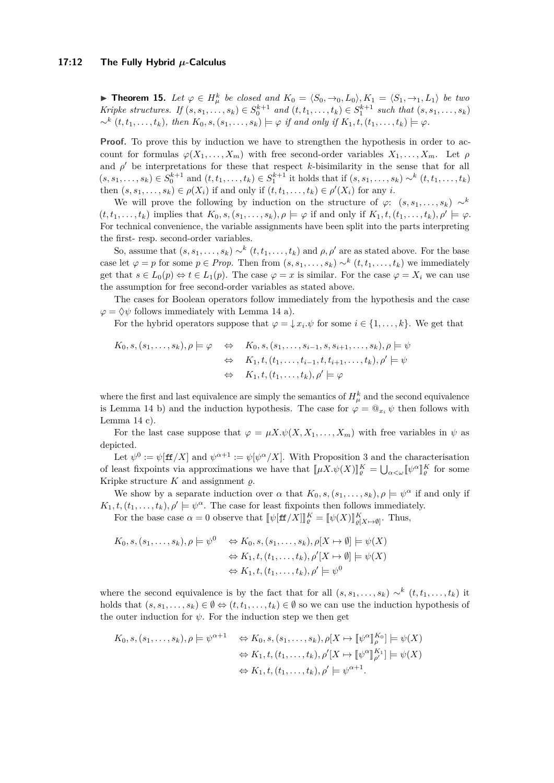<span id="page-11-0"></span>▶ **Theorem 15.** Let  $\varphi \in H^k_\mu$  be closed and  $K_0 = \langle S_0, \to_0, L_0 \rangle, K_1 = \langle S_1, \to_1, L_1 \rangle$  be two Kripke structures. If  $(s, s_1, \ldots, s_k) \in S_0^{k+1}$  and  $(t, t_1, \ldots, t_k) \in S_1^{k+1}$  such that  $(s, s_1, \ldots, s_k)$  $\sim^k (t, t_1, \ldots, t_k)$ , then  $K_0, s, (s_1, \ldots, s_k) \models \varphi$  if and only if  $K_1, t, (t_1, \ldots, t_k) \models \varphi$ .

**Proof.** To prove this by induction we have to strengthen the hypothesis in order to account for formulas  $\varphi(X_1, \ldots, X_m)$  with free second-order variables  $X_1, \ldots, X_m$ . Let  $\rho$ and  $\rho'$  be interpretations for these that respect *k*-bisimilarity in the sense that for all  $(s, s_1, \ldots, s_k) \in S_0^{k+1}$  and  $(t, t_1, \ldots, t_k) \in S_1^{k+1}$  it holds that if  $(s, s_1, \ldots, s_k) \sim^k (t, t_1, \ldots, t_k)$ then  $(s, s_1, \ldots, s_k) \in \rho(X_i)$  if and only if  $(t, t_1, \ldots, t_k) \in \rho'(X_i)$  for any *i*.

We will prove the following by induction on the structure of  $\varphi$ :  $(s, s_1, \ldots, s_k) \sim^k$  $(t, t_1, \ldots, t_k)$  implies that  $K_0, s, (s_1, \ldots, s_k), \rho \models \varphi$  if and only if  $K_1, t, (t_1, \ldots, t_k), \rho' \models \varphi$ . For technical convenience, the variable assignments have been split into the parts interpreting the first- resp. second-order variables.

So, assume that  $(s, s_1, \ldots, s_k) \sim^k (t, t_1, \ldots, t_k)$  and  $\rho, \rho'$  are as stated above. For the base case let  $\varphi = p$  for some  $p \in Prop$ . Then from  $(s, s_1, \ldots, s_k) \sim^k (t, t_1, \ldots, t_k)$  we immediately get that  $s \in L_0(p) \Leftrightarrow t \in L_1(p)$ . The case  $\varphi = x$  is similar. For the case  $\varphi = X_i$  we can use the assumption for free second-order variables as stated above.

The cases for Boolean operators follow immediately from the hypothesis and the case  $\varphi = \Diamond \psi$  follows immediately with Lemma [14](#page-10-1) a).

For the hybrid operators suppose that  $\varphi = \downarrow x_i \cdot \psi$  for some  $i \in \{1, \ldots, k\}$ . We get that

$$
K_0, s, (s_1, \ldots, s_k), \rho \models \varphi \Leftrightarrow K_0, s, (s_1, \ldots, s_{i-1}, s, s_{i+1}, \ldots, s_k), \rho \models \psi
$$
  
\n
$$
\Leftrightarrow K_1, t, (t_1, \ldots, t_{i-1}, t, t_{i+1}, \ldots, t_k), \rho' \models \psi
$$
  
\n
$$
\Leftrightarrow K_1, t, (t_1, \ldots, t_k), \rho' \models \varphi
$$

where the first and last equivalence are simply the semantics of  $H^k_\mu$  and the second equivalence is Lemma [14](#page-10-1) b) and the induction hypothesis. The case for  $\varphi = \mathbb{Q}_{x_i} \psi$  then follows with Lemma [14](#page-10-1) c).

For the last case suppose that  $\varphi = \mu X \cdot \psi(X, X_1, \dots, X_m)$  with free variables in  $\psi$  as depicted.

Let  $\psi^0 := \psi[\text{ff}/X]$  and  $\psi^{\alpha+1} := \psi[\psi^{\alpha}/X]$ . With Proposition [3](#page-5-0) and the characterisation of least fixpoints via approximations we have that  $[\![\mu X.\psi(X)]\!]_q^K = \bigcup_{\alpha < \omega} [\![\psi^\alpha$ l<br>I  $\frac{K}{\varrho}$  for some Kripke structure  $K$  and assignment  $\varrho$ .

We show by a separate induction over  $\alpha$  that  $K_0, s, (s_1, \ldots, s_k), \rho \models \psi^{\alpha}$  if and only if  $K_1, t, (t_1, \ldots, t_k), \rho' \models \psi^{\alpha}$ . The case for least fixpoints then follows immediately.

For the base case  $\alpha = 0$  observe that  $[\![\psi[\text{ff}/X]]\!]_e^K = [\![\psi(X)]\!]_{\varrho[X \mapsto \emptyset]}^K$ . Thus,

$$
K_0, s, (s_1, \ldots, s_k), \rho \models \psi^0 \Leftrightarrow K_0, s, (s_1, \ldots, s_k), \rho[X \mapsto \emptyset] \models \psi(X)
$$
  

$$
\Leftrightarrow K_1, t, (t_1, \ldots, t_k), \rho'[X \mapsto \emptyset] \models \psi(X)
$$
  

$$
\Leftrightarrow K_1, t, (t_1, \ldots, t_k), \rho' \models \psi^0
$$

where the second equivalence is by the fact that for all  $(s, s_1, \ldots, s_k) \sim^k (t, t_1, \ldots, t_k)$  it holds that  $(s, s_1, \ldots, s_k) \in \emptyset \Leftrightarrow (t, t_1, \ldots, t_k) \in \emptyset$  so we can use the induction hypothesis of the outer induction for  $\psi$ . For the induction step we then get

$$
K_0, s, (s_1, \ldots, s_k), \rho \models \psi^{\alpha+1} \Leftrightarrow K_0, s, (s_1, \ldots, s_k), \rho[X \mapsto [\![\psi^{\alpha}]\!]_{\rho}^{K_0}] \models \psi(X)
$$

$$
\Leftrightarrow K_1, t, (t_1, \ldots, t_k), \rho'[X \mapsto [\![\psi^{\alpha}]\!]_{\rho'}^{K_1}] \models \psi(X)
$$

$$
\Leftrightarrow K_1, t, (t_1, \ldots, t_k), \rho' \models \psi^{\alpha+1}.
$$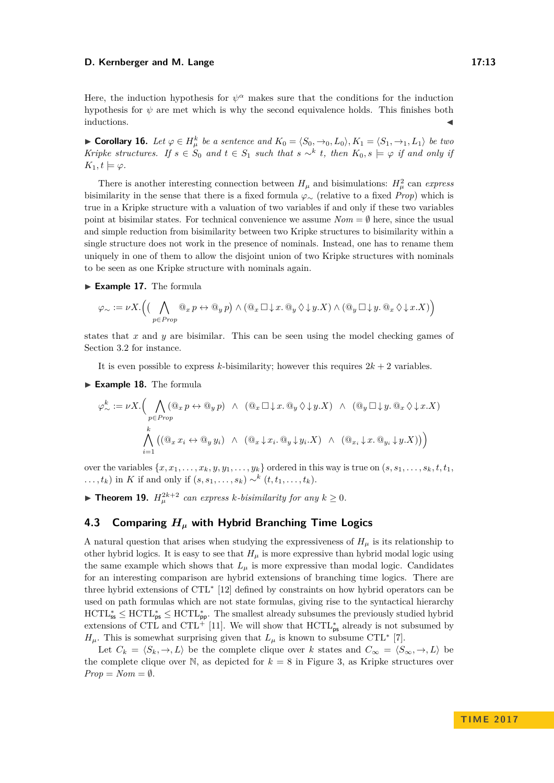#### **D. Kernberger and M. Lange 17:13**

Here, the induction hypothesis for  $\psi^{\alpha}$  makes sure that the conditions for the induction hypothesis for  $\psi$  are met which is why the second equivalence holds. This finishes both  $\blacksquare$ inductions.

► **Corollary 16.** Let  $\varphi \in H^k_\mu$  be a sentence and  $K_0 = \langle S_0, \to_0, L_0 \rangle, K_1 = \langle S_1, \to_1, L_1 \rangle$  be two *Kripke structures. If*  $s \in S_0$  *and*  $t \in S_1$  *such that*  $s \sim^k t$ , *then*  $K_0, s \models \varphi$  *if and only if*  $K_1, t \models \varphi.$ 

There is another interesting connection between  $H_{\mu}$  and bisimulations:  $H_{\mu}^{2}$  can *express* bisimilarity in the sense that there is a fixed formula *ϕ*<sup>∼</sup> (relative to a fixed *Prop*) which is true in a Kripke structure with a valuation of two variables if and only if these two variables point at bisimilar states. For technical convenience we assume  $Nom = \emptyset$  here, since the usual and simple reduction from bisimilarity between two Kripke structures to bisimilarity within a single structure does not work in the presence of nominals. Instead, one has to rename them uniquely in one of them to allow the disjoint union of two Kripke structures with nominals to be seen as one Kripke structure with nominals again.

<span id="page-12-0"></span>► Example 17. The formula

$$
\varphi_{\sim} := \nu X. \Big( \big( \bigwedge_{p \in Prop} @_{x} p \leftrightarrow @_{y} p \big) \wedge @_{x} \Box \downarrow x. @_{y} \Diamond \downarrow y. X) \wedge @_{y} \Box \downarrow y. @_{x} \Diamond \downarrow x. X) \Big)
$$

states that *x* and *y* are bisimilar. This can be seen using the model checking games of Section [3.2](#page-7-2) for instance.

It is even possible to express *k*-bisimilarity; however this requires  $2k + 2$  variables.

► Example 18. The formula

$$
\varphi^k_{\sim} := \nu X. \Big( \bigwedge_{p \in Prop} (\mathbb{Q}_x p \leftrightarrow \mathbb{Q}_y p) \land (\mathbb{Q}_x \Box \downarrow x. \mathbb{Q}_y \Diamond \downarrow y. X) \land (\mathbb{Q}_y \Box \downarrow y. \mathbb{Q}_x \Diamond \downarrow x. X)
$$

$$
\bigwedge_{i=1}^k \left( (\mathbb{Q}_x x_i \leftrightarrow \mathbb{Q}_y y_i) \land (\mathbb{Q}_x \downarrow x_i. \mathbb{Q}_y \downarrow y_i. X) \land (\mathbb{Q}_{x_i} \downarrow x. \mathbb{Q}_{y_i} \downarrow y. X) \right)
$$

over the variables  $\{x, x_1, \ldots, x_k, y, y_1, \ldots, y_k\}$  ordered in this way is true on  $(s, s_1, \ldots, s_k, t, t_1, t_2, \ldots, t_k, t_k, t_k\}$ *...*,  $t_k$ ) in *K* if and only if  $(s, s_1, \ldots, s_k) \sim^k (t, t_1, \ldots, t_k)$ .

▶ **Theorem 19.**  $H_{\mu}^{2k+2}$  can express *k*-bisimilarity for any  $k ≥ 0$ .

### **4.3 Comparing** *H<sup>µ</sup>* **with Hybrid Branching Time Logics**

A natural question that arises when studying the expressiveness of  $H_\mu$  is its relationship to other hybrid logics. It is easy to see that  $H_\mu$  is more expressive than hybrid modal logic using the same example which shows that  $L_{\mu}$  is more expressive than modal logic. Candidates for an interesting comparison are hybrid extensions of branching time logics. There are three hybrid extensions of CTL<sup>∗</sup> [\[12\]](#page-14-6) defined by constraints on how hybrid operators can be used on path formulas which are not state formulas, giving rise to the syntactical hierarchy  $\mathrm{HCTL}_{\mathsf{ss}}^* \leq \mathrm{HCTL}_{\mathsf{ps}}^*$ . The smallest already subsumes the previously studied hybrid extensions of CTL and CTL<sup>+</sup> [\[11\]](#page-14-5). We will show that  $\text{HCTL}^*_{\text{ps}}$  already is not subsumed by  $H_{\mu}$ . This is somewhat surprising given that  $L_{\mu}$  is known to subsume CTL<sup>\*</sup> [\[7\]](#page-14-11).

Let  $C_k = \langle S_k, \to, L \rangle$  be the complete clique over *k* states and  $C_\infty = \langle S_\infty, \to, L \rangle$  be the complete clique over  $\mathbb N$ , as depicted for  $k = 8$  in Figure [3,](#page-13-0) as Kripke structures over  $Prop = Nom = \emptyset$ .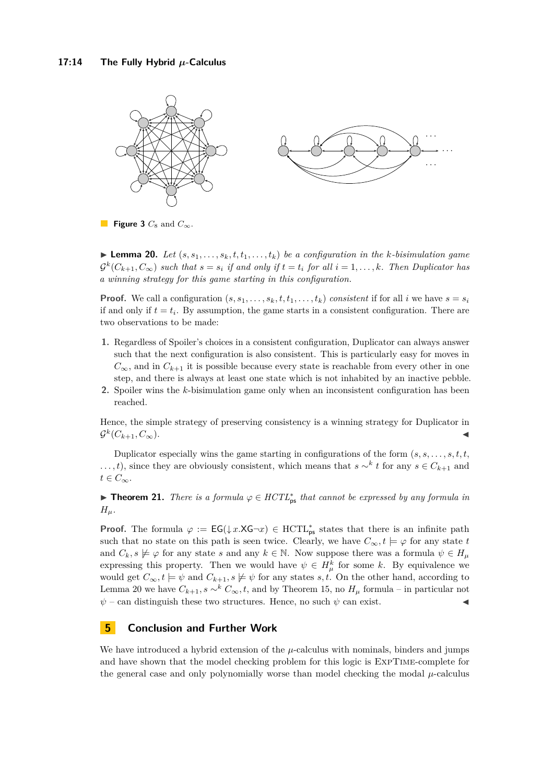<span id="page-13-0"></span>

**Figure 3**  $C_8$  and  $C_\infty$ .

<span id="page-13-1"></span> $\blacktriangleright$  **Lemma 20.** Let  $(s, s_1, \ldots, s_k, t, t_1, \ldots, t_k)$  be a configuration in the *k*-bisimulation game  $\mathcal{G}^k(C_{k+1}, C_{\infty})$  such that  $s = s_i$  if and only if  $t = t_i$  for all  $i = 1, \ldots, k$ *. Then Duplicator has a winning strategy for this game starting in this configuration.*

**Proof.** We call a configuration  $(s, s_1, \ldots, s_k, t, t_1, \ldots, t_k)$  *consistent* if for all *i* we have  $s = s_i$ if and only if  $t = t_i$ . By assumption, the game starts in a consistent configuration. There are two observations to be made:

- **1.** Regardless of Spoiler's choices in a consistent configuration, Duplicator can always answer such that the next configuration is also consistent. This is particularly easy for moves in  $C_{\infty}$ , and in  $C_{k+1}$  it is possible because every state is reachable from every other in one step, and there is always at least one state which is not inhabited by an inactive pebble.
- **2.** Spoiler wins the *k*-bisimulation game only when an inconsistent configuration has been reached.

Hence, the simple strategy of preserving consistency is a winning strategy for Duplicator in  $\mathcal{G}^k(C_{k+1}, C_{\infty}).$ 

Duplicator especially wins the game starting in configurations of the form (*s, s, . . . , s, t, t, ...,t*), since they are obviously consistent, which means that *s* ∼<sup>*k*</sup> *t* for any *s* ∈  $C$ <sup>*k*</sup>+1 and  $t \in C_{\infty}$ .

**► Theorem 21.** *There is a formula*  $\varphi \in HCTL_{ps}^*$  *that cannot be expressed by any formula in*  $H_\mu$ .

**Proof.** The formula  $\varphi := \mathsf{EG}(\downarrow x.XG\neg x) \in \mathrm{HCTL}_{\mathrm{ps}}^*$  states that there is an infinite path such that no state on this path is seen twice. Clearly, we have  $C_{\infty}$ ,  $t \models \varphi$  for any state *t* and  $C_k$ ,  $s \not\models \varphi$  for any state *s* and any  $k \in \mathbb{N}$ . Now suppose there was a formula  $\psi \in H_\mu$ expressing this property. Then we would have  $\psi \in H^k_\mu$  for some k. By equivalence we would get  $C_{\infty}, t \models \psi$  and  $C_{k+1}, s \not\models \psi$  for any states *s*, *t*. On the other hand, according to Lemma [20](#page-13-1) we have  $C_{k+1}$ ,  $s \sim^k C_\infty$ , t, and by Theorem [15,](#page-11-0) no  $H_\mu$  formula – in particular not  $\psi$  – can distinguish these two structures. Hence, no such  $\psi$  can exist.

### **5 Conclusion and Further Work**

We have introduced a hybrid extension of the *µ*-calculus with nominals, binders and jumps and have shown that the model checking problem for this logic is ExpTime-complete for the general case and only polynomially worse than model checking the modal *µ*-calculus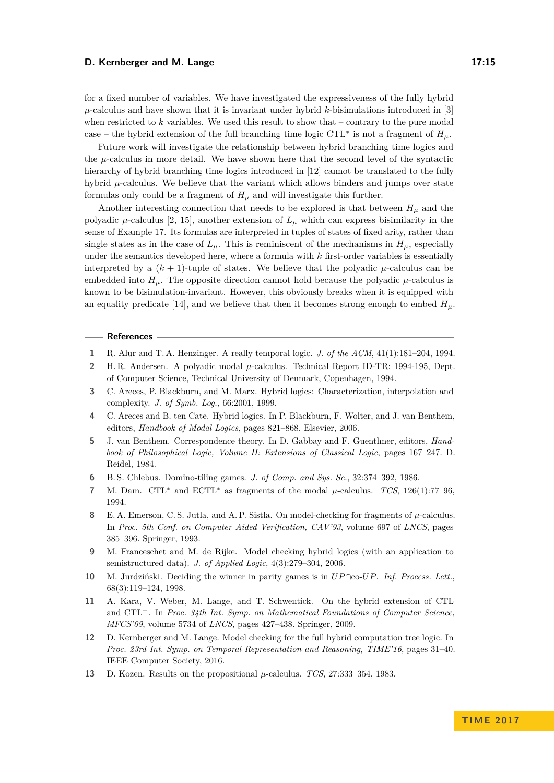#### **D. Kernberger and M. Lange 17:15**

for a fixed number of variables. We have investigated the expressiveness of the fully hybrid  $\mu$ -calculus and have shown that it is invariant under hybrid *k*-bisimulations introduced in [\[3\]](#page-14-3) when restricted to *k* variables. We used this result to show that – contrary to the pure modal case – the hybrid extension of the full branching time logic CTL<sup>\*</sup> is not a fragment of  $H_{\mu}$ .

Future work will investigate the relationship between hybrid branching time logics and the *µ*-calculus in more detail. We have shown here that the second level of the syntactic hierarchy of hybrid branching time logics introduced in [\[12\]](#page-14-6) cannot be translated to the fully hybrid  $\mu$ -calculus. We believe that the variant which allows binders and jumps over state formulas only could be a fragment of  $H_\mu$  and will investigate this further.

Another interesting connection that needs to be explored is that between  $H<sub>u</sub>$  and the polyadic  $\mu$ -calculus [\[2,](#page-14-12) [15\]](#page-15-6), another extension of  $L_{\mu}$  which can express bisimilarity in the sense of Example [17.](#page-12-0) Its formulas are interpreted in tuples of states of fixed arity, rather than single states as in the case of  $L_\mu$ . This is reminiscent of the mechanisms in  $H_\mu$ , especially under the semantics developed here, where a formula with *k* first-order variables is essentially interpreted by a  $(k + 1)$ -tuple of states. We believe that the polyadic  $\mu$ -calculus can be embedded into  $H_u$ . The opposite direction cannot hold because the polyadic  $\mu$ -calculus is known to be bisimulation-invariant. However, this obviously breaks when it is equipped with an equality predicate [\[14\]](#page-15-7), and we believe that then it becomes strong enough to embed  $H<sub>\mu</sub>$ .

#### **References**

- <span id="page-14-1"></span>**1** R. Alur and T. A. Henzinger. A really temporal logic. *J. of the ACM*, 41(1):181–204, 1994.
- <span id="page-14-12"></span>**2** H. R. Andersen. A polyadic modal *µ*-calculus. Technical Report ID-TR: 1994-195, Dept. of Computer Science, Technical University of Denmark, Copenhagen, 1994.
- <span id="page-14-3"></span>**3** C. Areces, P. Blackburn, and M. Marx. Hybrid logics: Characterization, interpolation and complexity. *J. of Symb. Log.*, 66:2001, 1999.
- <span id="page-14-0"></span>**4** C. Areces and B. ten Cate. Hybrid logics. In P. Blackburn, F. Wolter, and J. van Benthem, editors, *Handbook of Modal Logics*, pages 821–868. Elsevier, 2006.
- <span id="page-14-2"></span>**5** J. van Benthem. Correspondence theory. In D. Gabbay and F. Guenthner, editors, *Handbook of Philosophical Logic, Volume II: Extensions of Classical Logic*, pages 167–247. D. Reidel, 1984.
- <span id="page-14-10"></span>**6** B. S. Chlebus. Domino-tiling games. *J. of Comp. and Sys. Sc.*, 32:374–392, 1986.
- <span id="page-14-11"></span>**7** M. Dam. CTL<sup>∗</sup> and ECTL<sup>∗</sup> as fragments of the modal *µ*-calculus. *TCS*, 126(1):77–96, 1994.
- <span id="page-14-8"></span>**8** E. A. Emerson, C. S. Jutla, and A. P. Sistla. On model-checking for fragments of *µ*-calculus. In *Proc. 5th Conf. on Computer Aided Verification, CAV'93*, volume 697 of *LNCS*, pages 385–396. Springer, 1993.
- <span id="page-14-4"></span>**9** M. Franceschet and M. de Rijke. Model checking hybrid logics (with an application to semistructured data). *J. of Applied Logic*, 4(3):279–304, 2006.
- <span id="page-14-9"></span>**10** M. Jurdziński. Deciding the winner in parity games is in *UP*∩co-*UP*. *Inf. Process. Lett.*, 68(3):119–124, 1998.
- <span id="page-14-5"></span>**11** A. Kara, V. Weber, M. Lange, and T. Schwentick. On the hybrid extension of CTL and CTL<sup>+</sup>. In *Proc. 34th Int. Symp. on Mathematical Foundations of Computer Science, MFCS'09*, volume 5734 of *LNCS*, pages 427–438. Springer, 2009.
- <span id="page-14-6"></span>**12** D. Kernberger and M. Lange. Model checking for the full hybrid computation tree logic. In *Proc. 23rd Int. Symp. on Temporal Representation and Reasoning, TIME'16*, pages 31–40. IEEE Computer Society, 2016.
- <span id="page-14-7"></span>**13** D. Kozen. Results on the propositional *µ*-calculus. *TCS*, 27:333–354, 1983.